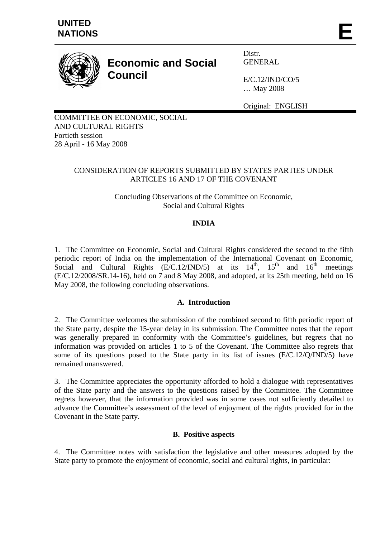

# **Economic and Social Council**

Distr. GENERAL

E/C.12/IND/CO/5 … May 2008

Original: ENGLISH

COMMITTEE ON ECONOMIC, SOCIAL AND CULTURAL RIGHTS Fortieth session 28 April - 16 May 2008

## CONSIDERATION OF REPORTS SUBMITTED BY STATES PARTIES UNDER ARTICLES 16 AND 17 OF THE COVENANT

Concluding Observations of the Committee on Economic, Social and Cultural Rights

# **INDIA**

1. The Committee on Economic, Social and Cultural Rights considered the second to the fifth periodic report of India on the implementation of the International Covenant on Economic, Social and Cultural Rights (E/C.12/IND/5) at its  $14<sup>th</sup>$ ,  $15<sup>th</sup>$  and  $16<sup>th</sup>$  meetings (E/C.12/2008/SR.14-16), held on 7 and 8 May 2008, and adopted, at its 25th meeting, held on 16 May 2008, the following concluding observations.

#### **A. Introduction**

2. The Committee welcomes the submission of the combined second to fifth periodic report of the State party, despite the 15-year delay in its submission. The Committee notes that the report was generally prepared in conformity with the Committee's guidelines, but regrets that no information was provided on articles 1 to 5 of the Covenant. The Committee also regrets that some of its questions posed to the State party in its list of issues (E/C.12/Q/IND/5) have remained unanswered.

3. The Committee appreciates the opportunity afforded to hold a dialogue with representatives of the State party and the answers to the questions raised by the Committee. The Committee regrets however, that the information provided was in some cases not sufficiently detailed to advance the Committee's assessment of the level of enjoyment of the rights provided for in the Covenant in the State party.

#### **B. Positive aspects**

4. The Committee notes with satisfaction the legislative and other measures adopted by the State party to promote the enjoyment of economic, social and cultural rights, in particular: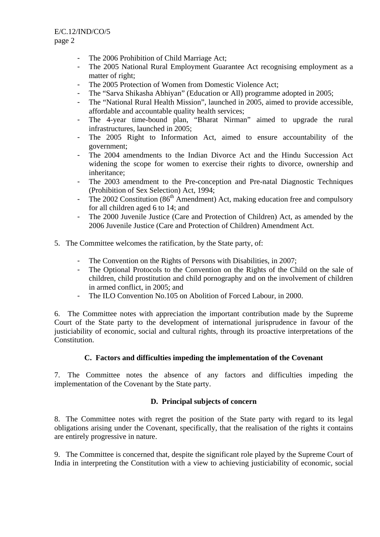- The 2006 Prohibition of Child Marriage Act;
- The 2005 National Rural Employment Guarantee Act recognising employment as a matter of right;
- The 2005 Protection of Women from Domestic Violence Act;
- The "Sarva Shikasha Abhiyan" (Education or All) programme adopted in 2005;
- The "National Rural Health Mission", launched in 2005, aimed to provide accessible, affordable and accountable quality health services;
- The 4-year time-bound plan, "Bharat Nirman" aimed to upgrade the rural infrastructures, launched in 2005;
- The 2005 Right to Information Act, aimed to ensure accountability of the government;
- The 2004 amendments to the Indian Divorce Act and the Hindu Succession Act widening the scope for women to exercise their rights to divorce, ownership and inheritance;
- The 2003 amendment to the Pre-conception and Pre-natal Diagnostic Techniques (Prohibition of Sex Selection) Act, 1994;
- The 2002 Constitution ( $86<sup>th</sup>$  Amendment) Act, making education free and compulsory for all children aged 6 to 14; and
- The 2000 Juvenile Justice (Care and Protection of Children) Act, as amended by the 2006 Juvenile Justice (Care and Protection of Children) Amendment Act.
- 5. The Committee welcomes the ratification, by the State party, of:
	- The Convention on the Rights of Persons with Disabilities, in 2007;
	- The Optional Protocols to the Convention on the Rights of the Child on the sale of children, child prostitution and child pornography and on the involvement of children in armed conflict, in 2005; and
	- The ILO Convention No.105 on Abolition of Forced Labour, in 2000.

6. The Committee notes with appreciation the important contribution made by the Supreme Court of the State party to the development of international jurisprudence in favour of the justiciability of economic, social and cultural rights, through its proactive interpretations of the Constitution.

#### **C. Factors and difficulties impeding the implementation of the Covenant**

7. The Committee notes the absence of any factors and difficulties impeding the implementation of the Covenant by the State party.

# **D. Principal subjects of concern**

8. The Committee notes with regret the position of the State party with regard to its legal obligations arising under the Covenant, specifically, that the realisation of the rights it contains are entirely progressive in nature.

9. The Committee is concerned that, despite the significant role played by the Supreme Court of India in interpreting the Constitution with a view to achieving justiciability of economic, social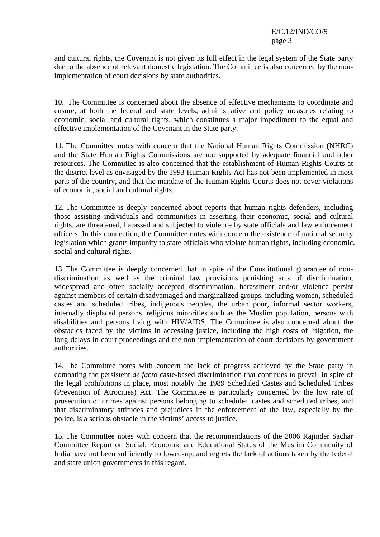and cultural rights, the Covenant is not given its full effect in the legal system of the State party due to the absence of relevant domestic legislation. The Committee is also concerned by the nonimplementation of court decisions by state authorities.

10. The Committee is concerned about the absence of effective mechanisms to coordinate and ensure, at both the federal and state levels, administrative and policy measures relating to economic, social and cultural rights, which constitutes a major impediment to the equal and effective implementation of the Covenant in the State party.

11. The Committee notes with concern that the National Human Rights Commission (NHRC) and the State Human Rights Commissions are not supported by adequate financial and other resources. The Committee is also concerned that the establishment of Human Rights Courts at the district level as envisaged by the 1993 Human Rights Act has not been implemented in most parts of the country, and that the mandate of the Human Rights Courts does not cover violations of economic, social and cultural rights.

12. The Committee is deeply concerned about reports that human rights defenders, including those assisting individuals and communities in asserting their economic, social and cultural rights, are threatened, harassed and subjected to violence by state officials and law enforcement officers. In this connection, the Committee notes with concern the existence of national security legislation which grants impunity to state officials who violate human rights, including economic, social and cultural rights.

13. The Committee is deeply concerned that in spite of the Constitutional guarantee of nondiscrimination as well as the criminal law provisions punishing acts of discrimination, widespread and often socially accepted discrimination, harassment and/or violence persist against members of certain disadvantaged and marginalized groups, including women, scheduled castes and scheduled tribes, indigenous peoples, the urban poor, informal sector workers, internally displaced persons, religious minorities such as the Muslim population, persons with disabilities and persons living with HIV/AIDS. The Committee is also concerned about the obstacles faced by the victims in accessing justice, including the high costs of litigation, the long-delays in court proceedings and the non-implementation of court decisions by government authorities.

14. The Committee notes with concern the lack of progress achieved by the State party in combating the persistent *de facto* caste-based discrimination that continues to prevail in spite of the legal prohibitions in place, most notably the 1989 Scheduled Castes and Scheduled Tribes (Prevention of Atrocities) Act. The Committee is particularly concerned by the low rate of prosecution of crimes against persons belonging to scheduled castes and scheduled tribes, and that discriminatory attitudes and prejudices in the enforcement of the law, especially by the police, is a serious obstacle in the victims' access to justice.

15. The Committee notes with concern that the recommendations of the 2006 Rajinder Sachar Committee Report on Social, Economic and Educational Status of the Muslim Community of India have not been sufficiently followed-up, and regrets the lack of actions taken by the federal and state union governments in this regard.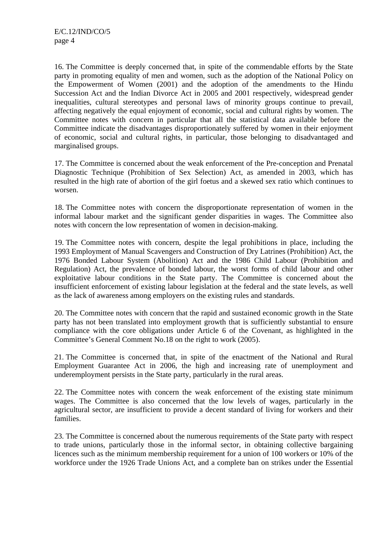16. The Committee is deeply concerned that, in spite of the commendable efforts by the State party in promoting equality of men and women, such as the adoption of the National Policy on the Empowerment of Women (2001) and the adoption of the amendments to the Hindu Succession Act and the Indian Divorce Act in 2005 and 2001 respectively, widespread gender inequalities, cultural stereotypes and personal laws of minority groups continue to prevail, affecting negatively the equal enjoyment of economic, social and cultural rights by women. The Committee notes with concern in particular that all the statistical data available before the Committee indicate the disadvantages disproportionately suffered by women in their enjoyment of economic, social and cultural rights, in particular, those belonging to disadvantaged and marginalised groups.

17. The Committee is concerned about the weak enforcement of the Pre-conception and Prenatal Diagnostic Technique (Prohibition of Sex Selection) Act, as amended in 2003, which has resulted in the high rate of abortion of the girl foetus and a skewed sex ratio which continues to worsen.

18. The Committee notes with concern the disproportionate representation of women in the informal labour market and the significant gender disparities in wages. The Committee also notes with concern the low representation of women in decision-making.

19. The Committee notes with concern, despite the legal prohibitions in place, including the 1993 Employment of Manual Scavengers and Construction of Dry Latrines (Prohibition) Act, the 1976 Bonded Labour System (Abolition) Act and the 1986 Child Labour (Prohibition and Regulation) Act, the prevalence of bonded labour, the worst forms of child labour and other exploitative labour conditions in the State party. The Committee is concerned about the insufficient enforcement of existing labour legislation at the federal and the state levels, as well as the lack of awareness among employers on the existing rules and standards.

20. The Committee notes with concern that the rapid and sustained economic growth in the State party has not been translated into employment growth that is sufficiently substantial to ensure compliance with the core obligations under Article 6 of the Covenant, as highlighted in the Committee's General Comment No.18 on the right to work (2005).

21. The Committee is concerned that, in spite of the enactment of the National and Rural Employment Guarantee Act in 2006, the high and increasing rate of unemployment and underemployment persists in the State party, particularly in the rural areas.

22. The Committee notes with concern the weak enforcement of the existing state minimum wages. The Committee is also concerned that the low levels of wages, particularly in the agricultural sector, are insufficient to provide a decent standard of living for workers and their families.

23. The Committee is concerned about the numerous requirements of the State party with respect to trade unions, particularly those in the informal sector, in obtaining collective bargaining licences such as the minimum membership requirement for a union of 100 workers or 10% of the workforce under the 1926 Trade Unions Act, and a complete ban on strikes under the Essential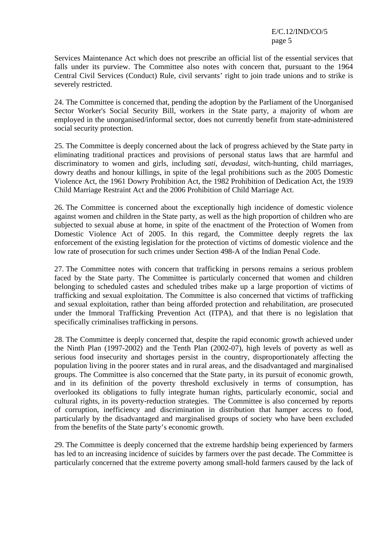Services Maintenance Act which does not prescribe an official list of the essential services that falls under its purview. The Committee also notes with concern that, pursuant to the 1964 Central Civil Services (Conduct) Rule, civil servants' right to join trade unions and to strike is severely restricted.

24. The Committee is concerned that, pending the adoption by the Parliament of the Unorganised Sector Worker's Social Security Bill, workers in the State party, a majority of whom are employed in the unorganised/informal sector, does not currently benefit from state-administered social security protection.

25. The Committee is deeply concerned about the lack of progress achieved by the State party in eliminating traditional practices and provisions of personal status laws that are harmful and discriminatory to women and girls, including *sati, devadasi*, witch-hunting, child marriages, dowry deaths and honour killings, in spite of the legal prohibitions such as the 2005 Domestic Violence Act, the 1961 Dowry Prohibition Act, the 1982 Prohibition of Dedication Act, the 1939 Child Marriage Restraint Act and the 2006 Prohibition of Child Marriage Act.

26. The Committee is concerned about the exceptionally high incidence of domestic violence against women and children in the State party, as well as the high proportion of children who are subjected to sexual abuse at home, in spite of the enactment of the Protection of Women from Domestic Violence Act of 2005. In this regard, the Committee deeply regrets the lax enforcement of the existing legislation for the protection of victims of domestic violence and the low rate of prosecution for such crimes under Section 498-A of the Indian Penal Code.

27. The Committee notes with concern that trafficking in persons remains a serious problem faced by the State party. The Committee is particularly concerned that women and children belonging to scheduled castes and scheduled tribes make up a large proportion of victims of trafficking and sexual exploitation. The Committee is also concerned that victims of trafficking and sexual exploitation, rather than being afforded protection and rehabilitation, are prosecuted under the Immoral Trafficking Prevention Act (ITPA), and that there is no legislation that specifically criminalises trafficking in persons.

28. The Committee is deeply concerned that, despite the rapid economic growth achieved under the Ninth Plan (1997-2002) and the Tenth Plan (2002-07), high levels of poverty as well as serious food insecurity and shortages persist in the country, disproportionately affecting the population living in the poorer states and in rural areas, and the disadvantaged and marginalised groups. The Committee is also concerned that the State party, in its pursuit of economic growth, and in its definition of the poverty threshold exclusively in terms of consumption, has overlooked its obligations to fully integrate human rights, particularly economic, social and cultural rights, in its poverty-reduction strategies. The Committee is also concerned by reports of corruption, inefficiency and discrimination in distribution that hamper access to food, particularly by the disadvantaged and marginalised groups of society who have been excluded from the benefits of the State party's economic growth.

29. The Committee is deeply concerned that the extreme hardship being experienced by farmers has led to an increasing incidence of suicides by farmers over the past decade. The Committee is particularly concerned that the extreme poverty among small-hold farmers caused by the lack of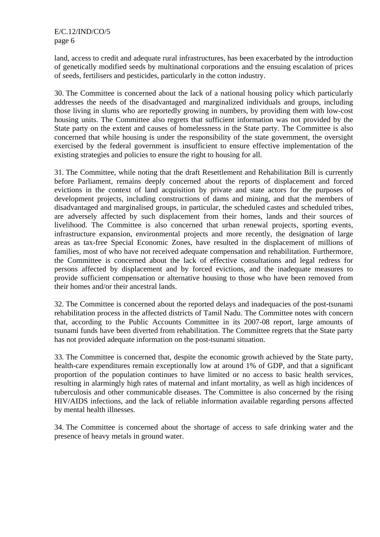land, access to credit and adequate rural infrastructures, has been exacerbated by the introduction of genetically modified seeds by multinational corporations and the ensuing escalation of prices of seeds, fertilisers and pesticides, particularly in the cotton industry.

30. The Committee is concerned about the lack of a national housing policy which particularly addresses the needs of the disadvantaged and marginalized individuals and groups, including those living in slums who are reportedly growing in numbers, by providing them with low-cost housing units. The Committee also regrets that sufficient information was not provided by the State party on the extent and causes of homelessness in the State party. The Committee is also concerned that while housing is under the responsibility of the state government, the oversight exercised by the federal government is insufficient to ensure effective implementation of the existing strategies and policies to ensure the right to housing for all.

31. The Committee, while noting that the draft Resettlement and Rehabilitation Bill is currently before Parliament, remains deeply concerned about the reports of displacement and forced evictions in the context of land acquisition by private and state actors for the purposes of development projects, including constructions of dams and mining, and that the members of disadvantaged and marginalised groups, in particular, the scheduled castes and scheduled tribes, are adversely affected by such displacement from their homes, lands and their sources of livelihood. The Committee is also concerned that urban renewal projects, sporting events, infrastructure expansion, environmental projects and more recently, the designation of large areas as tax-free Special Economic Zones, have resulted in the displacement of millions of families, most of who have not received adequate compensation and rehabilitation. Furthermore, the Committee is concerned about the lack of effective consultations and legal redress for persons affected by displacement and by forced evictions, and the inadequate measures to provide sufficient compensation or alternative housing to those who have been removed from their homes and/or their ancestral lands.

32. The Committee is concerned about the reported delays and inadequacies of the post-tsunami rehabilitation process in the affected districts of Tamil Nadu. The Committee notes with concern that, according to the Public Accounts Committee in its 2007-08 report, large amounts of tsunami funds have been diverted from rehabilitation. The Committee regrets that the State party has not provided adequate information on the post-tsunami situation.

33. The Committee is concerned that, despite the economic growth achieved by the State party, health-care expenditures remain exceptionally low at around 1% of GDP, and that a significant proportion of the population continues to have limited or no access to basic health services, resulting in alarmingly high rates of maternal and infant mortality, as well as high incidences of tuberculosis and other communicable diseases. The Committee is also concerned by the rising HIV/AIDS infections, and the lack of reliable information available regarding persons affected by mental health illnesses.

34. The Committee is concerned about the shortage of access to safe drinking water and the presence of heavy metals in ground water.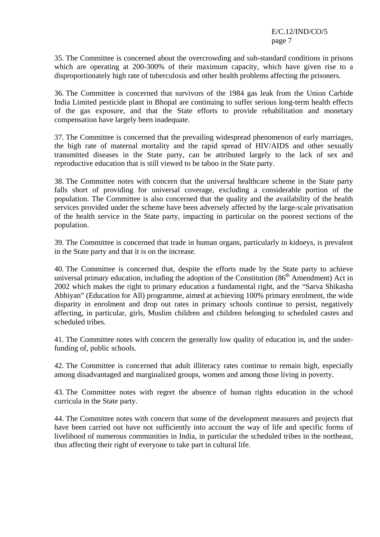35. The Committee is concerned about the overcrowding and sub-standard conditions in prisons which are operating at 200-300% of their maximum capacity, which have given rise to a disproportionately high rate of tuberculosis and other health problems affecting the prisoners.

36. The Committee is concerned that survivors of the 1984 gas leak from the Union Carbide India Limited pesticide plant in Bhopal are continuing to suffer serious long-term health effects of the gas exposure, and that the State efforts to provide rehabilitation and monetary compensation have largely been inadequate.

37. The Committee is concerned that the prevailing widespread phenomenon of early marriages, the high rate of maternal mortality and the rapid spread of HIV/AIDS and other sexually transmitted diseases in the State party, can be attributed largely to the lack of sex and reproductive education that is still viewed to be taboo in the State party.

38. The Committee notes with concern that the universal healthcare scheme in the State party falls short of providing for universal coverage, excluding a considerable portion of the population. The Committee is also concerned that the quality and the availability of the health services provided under the scheme have been adversely affected by the large-scale privatisation of the health service in the State party, impacting in particular on the poorest sections of the population.

39. The Committee is concerned that trade in human organs, particularly in kidneys, is prevalent in the State party and that it is on the increase.

40. The Committee is concerned that, despite the efforts made by the State party to achieve universal primary education, including the adoption of the Constitution (86<sup>th</sup> Amendment) Act in 2002 which makes the right to primary education a fundamental right, and the "Sarva Shikasha Abhiyan" (Education for All) programme, aimed at achieving 100% primary enrolment, the wide disparity in enrolment and drop out rates in primary schools continue to persist, negatively affecting, in particular, girls, Muslim children and children belonging to scheduled castes and scheduled tribes.

41. The Committee notes with concern the generally low quality of education in, and the underfunding of, public schools.

42. The Committee is concerned that adult illiteracy rates continue to remain high, especially among disadvantaged and marginalized groups, women and among those living in poverty.

43. The Committee notes with regret the absence of human rights education in the school curricula in the State party.

44. The Committee notes with concern that some of the development measures and projects that have been carried out have not sufficiently into account the way of life and specific forms of livelihood of numerous communities in India, in particular the scheduled tribes in the northeast, thus affecting their right of everyone to take part in cultural life.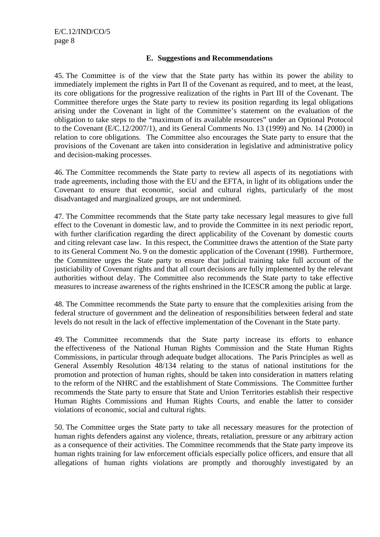## **E. Suggestions and Recommendations**

45. The Committee is of the view that the State party has within its power the ability to immediately implement the rights in Part II of the Covenant as required, and to meet, at the least, its core obligations for the progressive realization of the rights in Part III of the Covenant. The Committee therefore urges the State party to review its position regarding its legal obligations arising under the Covenant in light of the Committee's statement on the evaluation of the obligation to take steps to the "maximum of its available resources" under an Optional Protocol to the Covenant (E/C.12/2007/1), and its General Comments No. 13 (1999) and No. 14 (2000) in relation to core obligations. The Committee also encourages the State party to ensure that the provisions of the Covenant are taken into consideration in legislative and administrative policy and decision-making processes.

46. The Committee recommends the State party to review all aspects of its negotiations with trade agreements, including those with the EU and the EFTA, in light of its obligations under the Covenant to ensure that economic, social and cultural rights, particularly of the most disadvantaged and marginalized groups, are not undermined.

47. The Committee recommends that the State party take necessary legal measures to give full effect to the Covenant in domestic law, and to provide the Committee in its next periodic report, with further clarification regarding the direct applicability of the Covenant by domestic courts and citing relevant case law. In this respect, the Committee draws the attention of the State party to its General Comment No. 9 on the domestic application of the Covenant (1998). Furthermore, the Committee urges the State party to ensure that judicial training take full account of the justiciability of Covenant rights and that all court decisions are fully implemented by the relevant authorities without delay. The Committee also recommends the State party to take effective measures to increase awareness of the rights enshrined in the ICESCR among the public at large.

48. The Committee recommends the State party to ensure that the complexities arising from the federal structure of government and the delineation of responsibilities between federal and state levels do not result in the lack of effective implementation of the Covenant in the State party.

49. The Committee recommends that the State party increase its efforts to enhance the effectiveness of the National Human Rights Commission and the State Human Rights Commissions, in particular through adequate budget allocations. The Paris Principles as well as General Assembly Resolution 48/134 relating to the status of national institutions for the promotion and protection of human rights, should be taken into consideration in matters relating to the reform of the NHRC and the establishment of State Commissions. The Committee further recommends the State party to ensure that State and Union Territories establish their respective Human Rights Commissions and Human Rights Courts, and enable the latter to consider violations of economic, social and cultural rights.

50. The Committee urges the State party to take all necessary measures for the protection of human rights defenders against any violence, threats, retaliation, pressure or any arbitrary action as a consequence of their activities. The Committee recommends that the State party improve its human rights training for law enforcement officials especially police officers, and ensure that all allegations of human rights violations are promptly and thoroughly investigated by an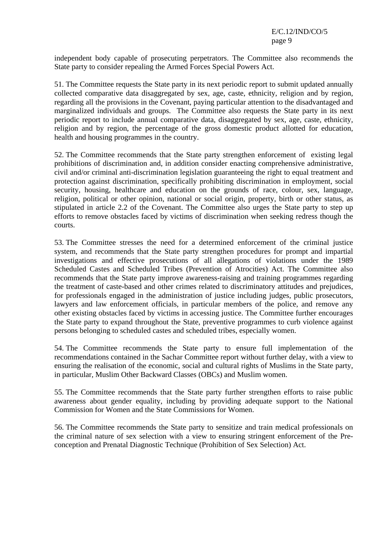independent body capable of prosecuting perpetrators. The Committee also recommends the State party to consider repealing the Armed Forces Special Powers Act.

51. The Committee requests the State party in its next periodic report to submit updated annually collected comparative data disaggregated by sex, age, caste, ethnicity, religion and by region, regarding all the provisions in the Covenant, paying particular attention to the disadvantaged and marginalized individuals and groups. The Committee also requests the State party in its next periodic report to include annual comparative data, disaggregated by sex, age, caste, ethnicity, religion and by region, the percentage of the gross domestic product allotted for education, health and housing programmes in the country.

52. The Committee recommends that the State party strengthen enforcement of existing legal prohibitions of discrimination and, in addition consider enacting comprehensive administrative, civil and/or criminal anti-discrimination legislation guaranteeing the right to equal treatment and protection against discrimination, specifically prohibiting discrimination in employment, social security, housing, healthcare and education on the grounds of race, colour, sex, language, religion, political or other opinion, national or social origin, property, birth or other status, as stipulated in article 2.2 of the Covenant. The Committee also urges the State party to step up efforts to remove obstacles faced by victims of discrimination when seeking redress though the courts.

53. The Committee stresses the need for a determined enforcement of the criminal justice system, and recommends that the State party strengthen procedures for prompt and impartial investigations and effective prosecutions of all allegations of violations under the 1989 Scheduled Castes and Scheduled Tribes (Prevention of Atrocities) Act. The Committee also recommends that the State party improve awareness-raising and training programmes regarding the treatment of caste-based and other crimes related to discriminatory attitudes and prejudices, for professionals engaged in the administration of justice including judges, public prosecutors, lawyers and law enforcement officials, in particular members of the police, and remove any other existing obstacles faced by victims in accessing justice. The Committee further encourages the State party to expand throughout the State, preventive programmes to curb violence against persons belonging to scheduled castes and scheduled tribes, especially women.

54. The Committee recommends the State party to ensure full implementation of the recommendations contained in the Sachar Committee report without further delay, with a view to ensuring the realisation of the economic, social and cultural rights of Muslims in the State party, in particular, Muslim Other Backward Classes (OBCs) and Muslim women.

55. The Committee recommends that the State party further strengthen efforts to raise public awareness about gender equality, including by providing adequate support to the National Commission for Women and the State Commissions for Women.

56. The Committee recommends the State party to sensitize and train medical professionals on the criminal nature of sex selection with a view to ensuring stringent enforcement of the Preconception and Prenatal Diagnostic Technique (Prohibition of Sex Selection) Act.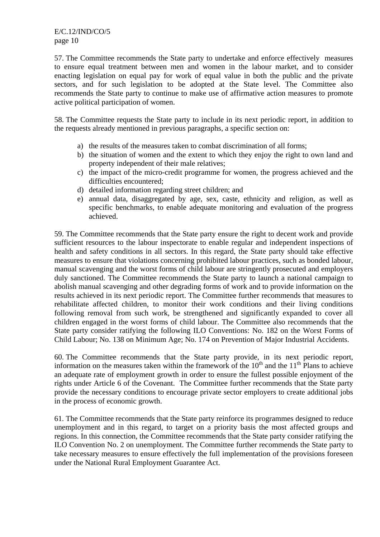57. The Committee recommends the State party to undertake and enforce effectively measures to ensure equal treatment between men and women in the labour market, and to consider enacting legislation on equal pay for work of equal value in both the public and the private sectors, and for such legislation to be adopted at the State level. The Committee also recommends the State party to continue to make use of affirmative action measures to promote active political participation of women.

58. The Committee requests the State party to include in its next periodic report, in addition to the requests already mentioned in previous paragraphs, a specific section on:

- a) the results of the measures taken to combat discrimination of all forms;
- b) the situation of women and the extent to which they enjoy the right to own land and property independent of their male relatives;
- c) the impact of the micro-credit programme for women, the progress achieved and the difficulties encountered;
- d) detailed information regarding street children; and
- e) annual data, disaggregated by age, sex, caste, ethnicity and religion, as well as specific benchmarks, to enable adequate monitoring and evaluation of the progress achieved.

59. The Committee recommends that the State party ensure the right to decent work and provide sufficient resources to the labour inspectorate to enable regular and independent inspections of health and safety conditions in all sectors. In this regard, the State party should take effective measures to ensure that violations concerning prohibited labour practices, such as bonded labour, manual scavenging and the worst forms of child labour are stringently prosecuted and employers duly sanctioned. The Committee recommends the State party to launch a national campaign to abolish manual scavenging and other degrading forms of work and to provide information on the results achieved in its next periodic report. The Committee further recommends that measures to rehabilitate affected children, to monitor their work conditions and their living conditions following removal from such work, be strengthened and significantly expanded to cover all children engaged in the worst forms of child labour. The Committee also recommends that the State party consider ratifying the following ILO Conventions: No. 182 on the Worst Forms of Child Labour; No. 138 on Minimum Age; No. 174 on Prevention of Major Industrial Accidents.

60. The Committee recommends that the State party provide, in its next periodic report, information on the measures taken within the framework of the  $10<sup>th</sup>$  and the  $11<sup>th</sup>$  Plans to achieve an adequate rate of employment growth in order to ensure the fullest possible enjoyment of the rights under Article 6 of the Covenant. The Committee further recommends that the State party provide the necessary conditions to encourage private sector employers to create additional jobs in the process of economic growth.

61. The Committee recommends that the State party reinforce its programmes designed to reduce unemployment and in this regard, to target on a priority basis the most affected groups and regions. In this connection, the Committee recommends that the State party consider ratifying the ILO Convention No. 2 on unemployment. The Committee further recommends the State party to take necessary measures to ensure effectively the full implementation of the provisions foreseen under the National Rural Employment Guarantee Act.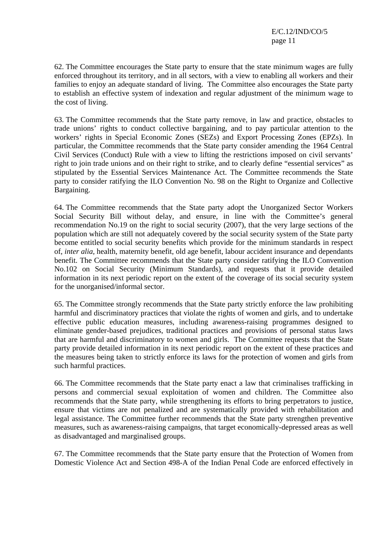62. The Committee encourages the State party to ensure that the state minimum wages are fully enforced throughout its territory, and in all sectors, with a view to enabling all workers and their families to enjoy an adequate standard of living. The Committee also encourages the State party to establish an effective system of indexation and regular adjustment of the minimum wage to the cost of living.

63. The Committee recommends that the State party remove, in law and practice, obstacles to trade unions' rights to conduct collective bargaining, and to pay particular attention to the workers' rights in Special Economic Zones (SEZs) and Export Processing Zones (EPZs). In particular, the Committee recommends that the State party consider amending the 1964 Central Civil Services (Conduct) Rule with a view to lifting the restrictions imposed on civil servants' right to join trade unions and on their right to strike, and to clearly define "essential services" as stipulated by the Essential Services Maintenance Act. The Committee recommends the State party to consider ratifying the ILO Convention No. 98 on the Right to Organize and Collective Bargaining.

64. The Committee recommends that the State party adopt the Unorganized Sector Workers Social Security Bill without delay, and ensure, in line with the Committee's general recommendation No.19 on the right to social security (2007), that the very large sections of the population which are still not adequately covered by the social security system of the State party become entitled to social security benefits which provide for the minimum standards in respect of, *inter alia,* health, maternity benefit, old age benefit, labour accident insurance and dependants benefit. The Committee recommends that the State party consider ratifying the ILO Convention No.102 on Social Security (Minimum Standards), and requests that it provide detailed information in its next periodic report on the extent of the coverage of its social security system for the unorganised/informal sector.

65. The Committee strongly recommends that the State party strictly enforce the law prohibiting harmful and discriminatory practices that violate the rights of women and girls, and to undertake effective public education measures, including awareness-raising programmes designed to eliminate gender-based prejudices, traditional practices and provisions of personal status laws that are harmful and discriminatory to women and girls. The Committee requests that the State party provide detailed information in its next periodic report on the extent of these practices and the measures being taken to strictly enforce its laws for the protection of women and girls from such harmful practices.

66. The Committee recommends that the State party enact a law that criminalises trafficking in persons and commercial sexual exploitation of women and children. The Committee also recommends that the State party, while strengthening its efforts to bring perpetrators to justice, ensure that victims are not penalized and are systematically provided with rehabilitation and legal assistance. The Committee further recommends that the State party strengthen preventive measures, such as awareness-raising campaigns, that target economically-depressed areas as well as disadvantaged and marginalised groups.

67. The Committee recommends that the State party ensure that the Protection of Women from Domestic Violence Act and Section 498-A of the Indian Penal Code are enforced effectively in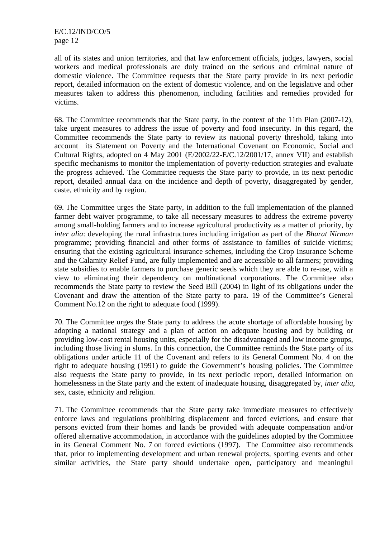all of its states and union territories, and that law enforcement officials, judges, lawyers, social workers and medical professionals are duly trained on the serious and criminal nature of domestic violence. The Committee requests that the State party provide in its next periodic report, detailed information on the extent of domestic violence, and on the legislative and other measures taken to address this phenomenon, including facilities and remedies provided for victims.

68. The Committee recommends that the State party, in the context of the 11th Plan (2007-12), take urgent measures to address the issue of poverty and food insecurity. In this regard, the Committee recommends the State party to review its national poverty threshold, taking into account its Statement on Poverty and the International Covenant on Economic, Social and Cultural Rights, adopted on 4 May 2001 (E/2002/22-E/C.12/2001/17, annex VII) and establish specific mechanisms to monitor the implementation of poverty-reduction strategies and evaluate the progress achieved. The Committee requests the State party to provide, in its next periodic report, detailed annual data on the incidence and depth of poverty, disaggregated by gender, caste, ethnicity and by region.

69. The Committee urges the State party, in addition to the full implementation of the planned farmer debt waiver programme, to take all necessary measures to address the extreme poverty among small-holding farmers and to increase agricultural productivity as a matter of priority, by *inter alia*: developing the rural infrastructures including irrigation as part of the *Bharat Nirman* programme; providing financial and other forms of assistance to families of suicide victims; ensuring that the existing agricultural insurance schemes, including the Crop Insurance Scheme and the Calamity Relief Fund, are fully implemented and are accessible to all farmers; providing state subsidies to enable farmers to purchase generic seeds which they are able to re-use, with a view to eliminating their dependency on multinational corporations. The Committee also recommends the State party to review the Seed Bill (2004) in light of its obligations under the Covenant and draw the attention of the State party to para. 19 of the Committee's General Comment No.12 on the right to adequate food (1999).

70. The Committee urges the State party to address the acute shortage of affordable housing by adopting a national strategy and a plan of action on adequate housing and by building or providing low-cost rental housing units, especially for the disadvantaged and low income groups, including those living in slums. In this connection, the Committee reminds the State party of its obligations under article 11 of the Covenant and refers to its General Comment No. 4 on the right to adequate housing (1991) to guide the Government's housing policies. The Committee also requests the State party to provide, in its next periodic report, detailed information on homelessness in the State party and the extent of inadequate housing, disaggregated by, *inter alia*, sex, caste, ethnicity and religion.

71. The Committee recommends that the State party take immediate measures to effectively enforce laws and regulations prohibiting displacement and forced evictions, and ensure that persons evicted from their homes and lands be provided with adequate compensation and/or offered alternative accommodation, in accordance with the guidelines adopted by the Committee in its General Comment No. 7 on forced evictions (1997). The Committee also recommends that, prior to implementing development and urban renewal projects, sporting events and other similar activities, the State party should undertake open, participatory and meaningful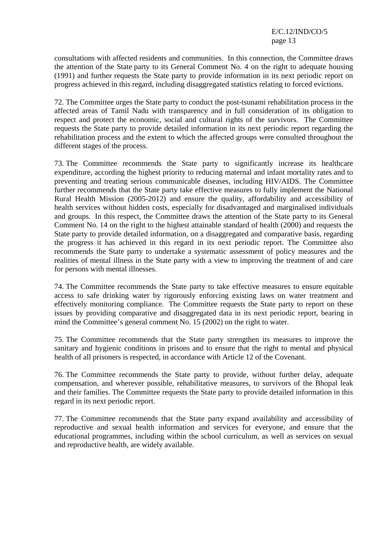consultations with affected residents and communities. In this connection, the Committee draws the attention of the State party to its General Comment No. 4 on the right to adequate housing (1991) and further requests the State party to provide information in its next periodic report on progress achieved in this regard, including disaggregated statistics relating to forced evictions.

72. The Committee urges the State party to conduct the post-tsunami rehabilitation process in the affected areas of Tamil Nadu with transparency and in full consideration of its obligation to respect and protect the economic, social and cultural rights of the survivors. The Committee requests the State party to provide detailed information in its next periodic report regarding the rehabilitation process and the extent to which the affected groups were consulted throughout the different stages of the process.

73. The Committee recommends the State party to significantly increase its healthcare expenditure, according the highest priority to reducing maternal and infant mortality rates and to preventing and treating serious communicable diseases, including HIV/AIDS. The Committee further recommends that the State party take effective measures to fully implement the National Rural Health Mission (2005-2012) and ensure the quality, affordability and accessibility of health services without hidden costs, especially for disadvantaged and marginalised individuals and groups. In this respect, the Committee draws the attention of the State party to its General Comment No. 14 on the right to the highest attainable standard of health (2000) and requests the State party to provide detailed information, on a disaggregated and comparative basis, regarding the progress it has achieved in this regard in its next periodic report. The Committee also recommends the State party to undertake a systematic assessment of policy measures and the realities of mental illness in the State party with a view to improving the treatment of and care for persons with mental illnesses.

74. The Committee recommends the State party to take effective measures to ensure equitable access to safe drinking water by rigorously enforcing existing laws on water treatment and effectively monitoring compliance. The Committee requests the State party to report on these issues by providing comparative and disaggregated data in its next periodic report, bearing in mind the Committee's general comment No. 15 (2002) on the right to water.

75. The Committee recommends that the State party strengthen its measures to improve the sanitary and hygienic conditions in prisons and to ensure that the right to mental and physical health of all prisoners is respected, in accordance with Article 12 of the Covenant.

76. The Committee recommends the State party to provide, without further delay, adequate compensation, and wherever possible, rehabilitative measures, to survivors of the Bhopal leak and their families. The Committee requests the State party to provide detailed information in this regard in its next periodic report.

77. The Committee recommends that the State party expand availability and accessibility of reproductive and sexual health information and services for everyone, and ensure that the educational programmes, including within the school curriculum, as well as services on sexual and reproductive health, are widely available.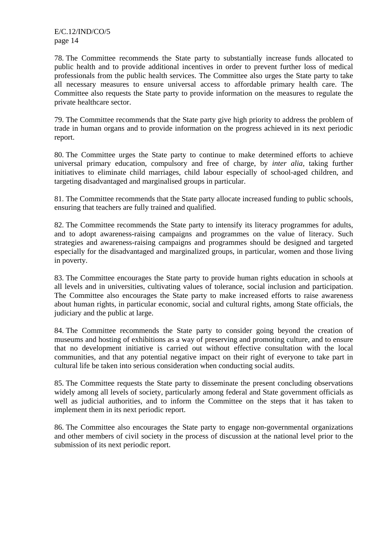78. The Committee recommends the State party to substantially increase funds allocated to public health and to provide additional incentives in order to prevent further loss of medical professionals from the public health services. The Committee also urges the State party to take all necessary measures to ensure universal access to affordable primary health care. The Committee also requests the State party to provide information on the measures to regulate the private healthcare sector.

79. The Committee recommends that the State party give high priority to address the problem of trade in human organs and to provide information on the progress achieved in its next periodic report.

80. The Committee urges the State party to continue to make determined efforts to achieve universal primary education, compulsory and free of charge, by *inter alia*, taking further initiatives to eliminate child marriages, child labour especially of school-aged children, and targeting disadvantaged and marginalised groups in particular.

81. The Committee recommends that the State party allocate increased funding to public schools, ensuring that teachers are fully trained and qualified.

82. The Committee recommends the State party to intensify its literacy programmes for adults, and to adopt awareness-raising campaigns and programmes on the value of literacy. Such strategies and awareness-raising campaigns and programmes should be designed and targeted especially for the disadvantaged and marginalized groups, in particular, women and those living in poverty.

83. The Committee encourages the State party to provide human rights education in schools at all levels and in universities, cultivating values of tolerance, social inclusion and participation. The Committee also encourages the State party to make increased efforts to raise awareness about human rights, in particular economic, social and cultural rights, among State officials, the judiciary and the public at large.

84. The Committee recommends the State party to consider going beyond the creation of museums and hosting of exhibitions as a way of preserving and promoting culture, and to ensure that no development initiative is carried out without effective consultation with the local communities, and that any potential negative impact on their right of everyone to take part in cultural life be taken into serious consideration when conducting social audits.

85. The Committee requests the State party to disseminate the present concluding observations widely among all levels of society, particularly among federal and State government officials as well as judicial authorities, and to inform the Committee on the steps that it has taken to implement them in its next periodic report.

86. The Committee also encourages the State party to engage non-governmental organizations and other members of civil society in the process of discussion at the national level prior to the submission of its next periodic report.